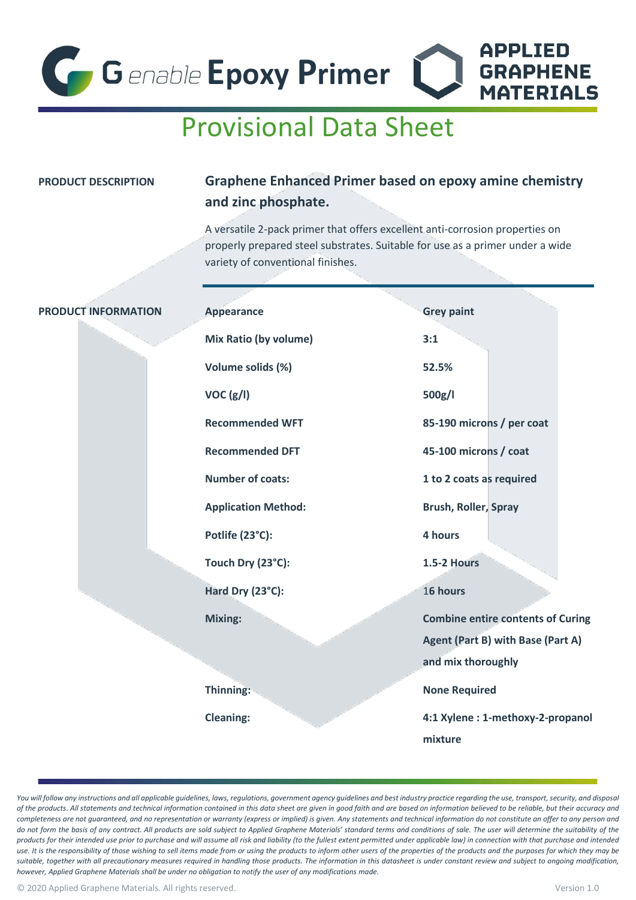**Epoxy Primer**

# Provisional Data Sheet

## **PRODUCT DESCRIPTION Graphene Enhanced Primer based on epoxy amine chemistry and zinc phosphate.**

**APPLIED** 

**GRAPHENE MATERIALS** 

A versatile 2-pack primer that offers excellent anti-corrosion properties on properly prepared steel substrates. Suitable for use as a primer under a wide variety of conventional finishes.

| <b>PRODUCT INFORMATION</b> | <b>Appearance</b>            | <b>Grey paint</b>                        |
|----------------------------|------------------------------|------------------------------------------|
|                            | <b>Mix Ratio (by volume)</b> | 3:1                                      |
|                            | Volume solids (%)            | 52.5%                                    |
|                            | VOC (g/I)                    | 500g/l                                   |
|                            | <b>Recommended WFT</b>       | 85-190 microns / per coat                |
|                            | <b>Recommended DFT</b>       | 45-100 microns / coat                    |
|                            | <b>Number of coats:</b>      | 1 to 2 coats as required                 |
|                            | <b>Application Method:</b>   | Brush, Roller, Spray                     |
|                            | Potlife (23°C):              | 4 hours                                  |
|                            | Touch Dry (23°C):            | <b>1.5-2 Hours</b>                       |
|                            | Hard Dry (23°C):             | 16 hours                                 |
|                            | <b>Mixing:</b>               | <b>Combine entire contents of Curing</b> |
|                            |                              | Agent (Part B) with Base (Part A)        |
|                            |                              | and mix thoroughly                       |
|                            | Thinning:                    | <b>None Required</b>                     |
|                            | <b>Cleaning:</b>             | 4:1 Xylene : 1-methoxy-2-propanol        |
|                            |                              | mixture                                  |

You will follow any instructions and all applicable guidelines, laws, regulations, government agency guidelines and best industry practice regarding the use, transport, security, and disposal *of the products. All statements and technical information contained in this data sheet are given in good faith and are based on information believed to be reliable, but their accuracy and completeness are not guaranteed, and no representation or warranty (express or implied) is given. Any statements and technical information do not constitute an offer to any person and*  do not form the basis of any contract. All products are sold subject to Applied Graphene Materials' standard terms and conditions of sale. The user will determine the suitability of the products for their intended use prior to purchase and will assume all risk and liability (to the fullest extent permitted under applicable law) in connection with that purchase and intended *use. It is the responsibility of those wishing to sell items made from or using the products to inform other users of the properties of the products and the purposes for which they may be suitable, together with all precautionary measures required in handling those products. The information in this datasheet is under constant review and subject to ongoing modification, however, Applied Graphene Materials shall be under no obligation to notify the user of any modifications made.*